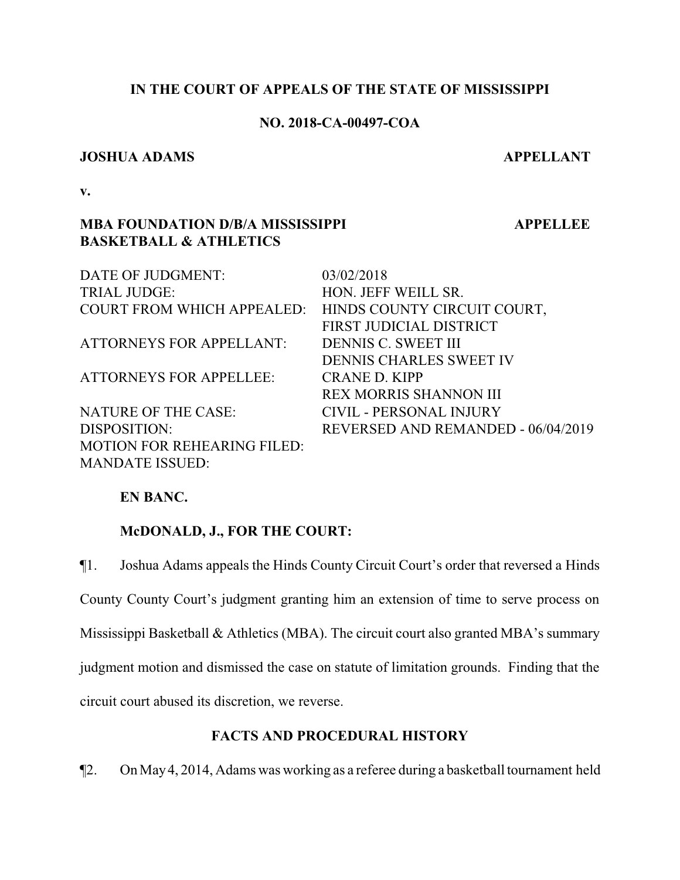# **IN THE COURT OF APPEALS OF THE STATE OF MISSISSIPPI**

## **NO. 2018-CA-00497-COA**

## **JOSHUA ADAMS** APPELLANT

 **APPELLEE**

**v.**

# **MBA FOUNDATION D/B/A MISSISSIPPI BASKETBALL & ATHLETICS**

DATE OF JUDGMENT: 03/02/2018 TRIAL JUDGE: HON. JEFF WEILL SR. COURT FROM WHICH APPEALED: HINDS COUNTY CIRCUIT COURT, FIRST JUDICIAL DISTRICT ATTORNEYS FOR APPELLANT: DENNIS C. SWEET III DENNIS CHARLES SWEET IV ATTORNEYS FOR APPELLEE: CRANE D. KIPP REX MORRIS SHANNON III NATURE OF THE CASE: CIVIL - PERSONAL INJURY DISPOSITION: REVERSED AND REMANDED - 06/04/2019 MOTION FOR REHEARING FILED: MANDATE ISSUED:

# **EN BANC.**

# **McDONALD, J., FOR THE COURT:**

¶1. Joshua Adams appeals the Hinds County Circuit Court's order that reversed a Hinds County County Court's judgment granting him an extension of time to serve process on Mississippi Basketball & Athletics (MBA). The circuit court also granted MBA's summary judgment motion and dismissed the case on statute of limitation grounds. Finding that the circuit court abused its discretion, we reverse.

# **FACTS AND PROCEDURAL HISTORY**

¶2. On May4, 2014, Adams was working as a referee during a basketball tournament held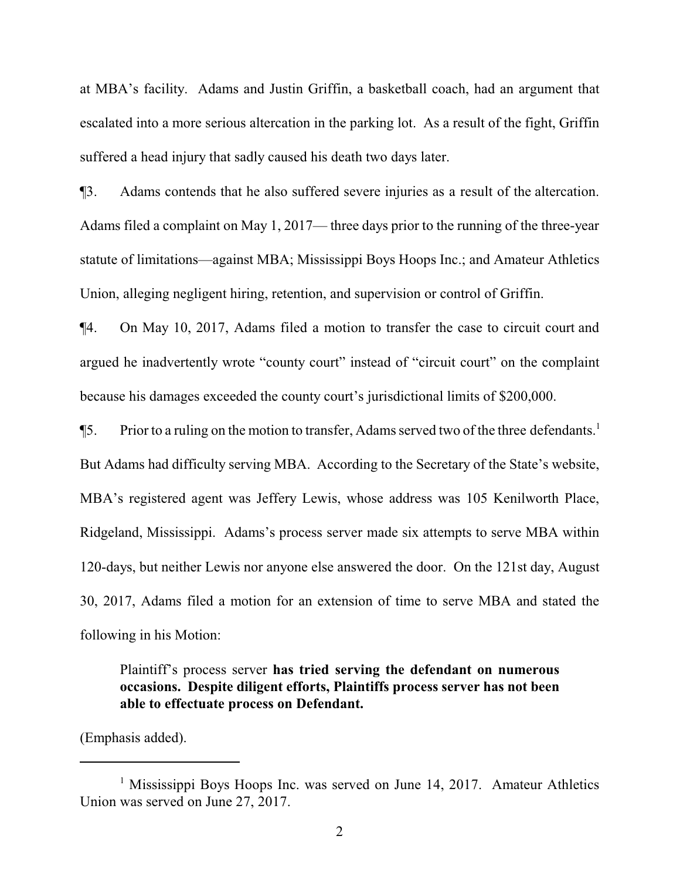at MBA's facility. Adams and Justin Griffin, a basketball coach, had an argument that escalated into a more serious altercation in the parking lot. As a result of the fight, Griffin suffered a head injury that sadly caused his death two days later.

¶3. Adams contends that he also suffered severe injuries as a result of the altercation. Adams filed a complaint on May 1, 2017— three days prior to the running of the three-year statute of limitations—against MBA; Mississippi Boys Hoops Inc.; and Amateur Athletics Union, alleging negligent hiring, retention, and supervision or control of Griffin.

¶4. On May 10, 2017, Adams filed a motion to transfer the case to circuit court and argued he inadvertently wrote "county court" instead of "circuit court" on the complaint because his damages exceeded the county court's jurisdictional limits of \$200,000.

¶5. Prior to a ruling on the motion to transfer, Adams served two of the three defendants.<sup>1</sup> But Adams had difficulty serving MBA. According to the Secretary of the State's website, MBA's registered agent was Jeffery Lewis, whose address was 105 Kenilworth Place, Ridgeland, Mississippi. Adams's process server made six attempts to serve MBA within 120-days, but neither Lewis nor anyone else answered the door. On the 121st day, August 30, 2017, Adams filed a motion for an extension of time to serve MBA and stated the following in his Motion:

Plaintiff's process server **has tried serving the defendant on numerous occasions. Despite diligent efforts, Plaintiffs process server has not been able to effectuate process on Defendant.**

(Emphasis added).

<sup>&</sup>lt;sup>1</sup> Mississippi Boys Hoops Inc. was served on June 14, 2017. Amateur Athletics Union was served on June 27, 2017.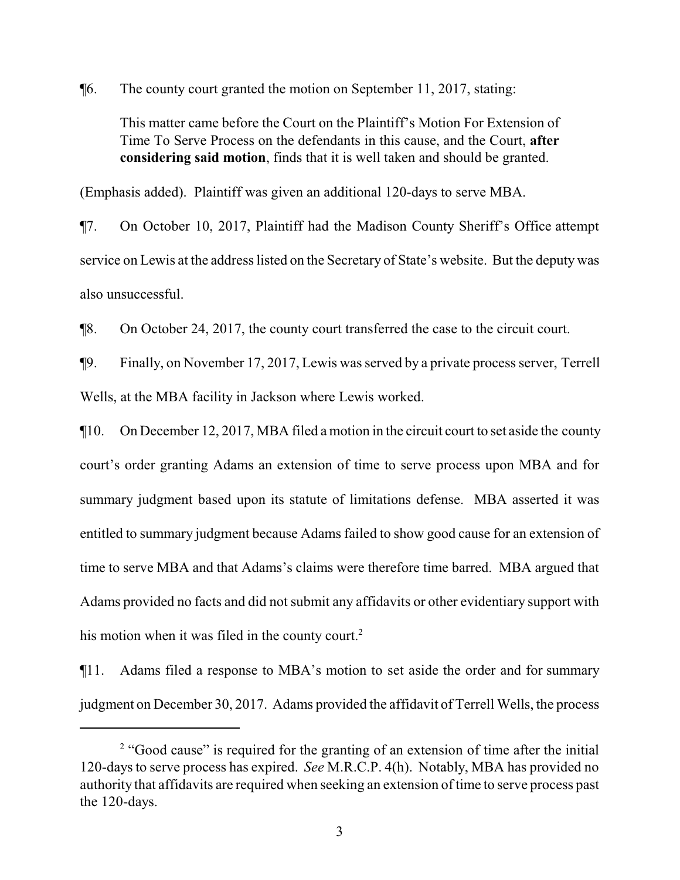¶6. The county court granted the motion on September 11, 2017, stating:

This matter came before the Court on the Plaintiff's Motion For Extension of Time To Serve Process on the defendants in this cause, and the Court, **after considering said motion**, finds that it is well taken and should be granted.

(Emphasis added). Plaintiff was given an additional 120-days to serve MBA.

¶7. On October 10, 2017, Plaintiff had the Madison County Sheriff's Office attempt service on Lewis at the address listed on the Secretary of State's website. But the deputy was also unsuccessful.

¶8. On October 24, 2017, the county court transferred the case to the circuit court.

¶9. Finally, on November 17, 2017, Lewis was served by a private process server, Terrell Wells, at the MBA facility in Jackson where Lewis worked.

¶10. On December 12, 2017, MBA filed a motion in the circuit court to set aside the county court's order granting Adams an extension of time to serve process upon MBA and for summary judgment based upon its statute of limitations defense. MBA asserted it was entitled to summary judgment because Adams failed to show good cause for an extension of time to serve MBA and that Adams's claims were therefore time barred. MBA argued that Adams provided no facts and did not submit any affidavits or other evidentiary support with his motion when it was filed in the county court.<sup>2</sup>

¶11. Adams filed a response to MBA's motion to set aside the order and for summary judgment on December 30, 2017. Adams provided the affidavit of Terrell Wells, the process

<sup>&</sup>lt;sup>2</sup> "Good cause" is required for the granting of an extension of time after the initial 120-days to serve process has expired. *See* M.R.C.P. 4(h). Notably, MBA has provided no authority that affidavits are required when seeking an extension of time to serve process past the 120-days.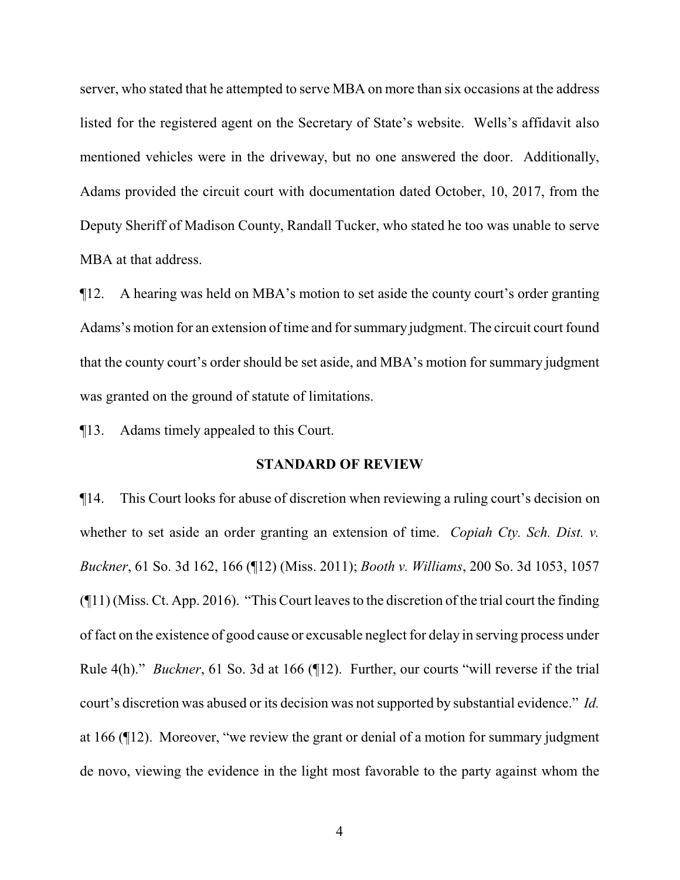server, who stated that he attempted to serve MBA on more than six occasions at the address listed for the registered agent on the Secretary of State's website. Wells's affidavit also mentioned vehicles were in the driveway, but no one answered the door. Additionally, Adams provided the circuit court with documentation dated October, 10, 2017, from the Deputy Sheriff of Madison County, Randall Tucker, who stated he too was unable to serve MBA at that address.

¶12. A hearing was held on MBA's motion to set aside the county court's order granting Adams's motion for an extension of time and for summary judgment. The circuit court found that the county court's order should be set aside, and MBA's motion for summary judgment was granted on the ground of statute of limitations.

¶13. Adams timely appealed to this Court.

## **STANDARD OF REVIEW**

¶14. This Court looks for abuse of discretion when reviewing a ruling court's decision on whether to set aside an order granting an extension of time. *Copiah Cty. Sch. Dist. v. Buckner*, 61 So. 3d 162, 166 (¶12) (Miss. 2011); *Booth v. Williams*, 200 So. 3d 1053, 1057 (¶11) (Miss. Ct. App. 2016). "This Court leaves to the discretion of the trial court the finding of fact on the existence of good cause or excusable neglect for delay in serving process under Rule 4(h)." *Buckner*, 61 So. 3d at 166 (¶12). Further, our courts "will reverse if the trial court's discretion was abused or its decision was not supported by substantial evidence." *Id.* at 166 (¶12). Moreover, "we review the grant or denial of a motion for summary judgment de novo, viewing the evidence in the light most favorable to the party against whom the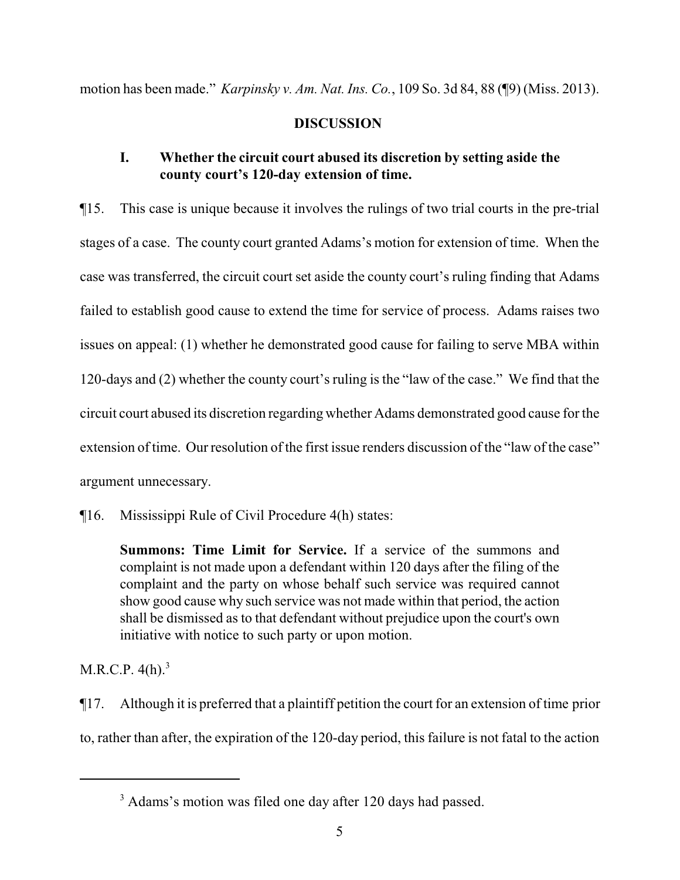motion has been made." *Karpinsky v. Am. Nat. Ins. Co.*, 109 So. 3d 84, 88 (¶9) (Miss. 2013).

# **DISCUSSION**

# **I. Whether the circuit court abused its discretion by setting aside the county court's 120-day extension of time.**

¶15. This case is unique because it involves the rulings of two trial courts in the pre-trial stages of a case. The county court granted Adams's motion for extension of time. When the case was transferred, the circuit court set aside the county court's ruling finding that Adams failed to establish good cause to extend the time for service of process. Adams raises two issues on appeal: (1) whether he demonstrated good cause for failing to serve MBA within 120-days and (2) whether the county court's ruling is the "law of the case." We find that the circuit court abused its discretion regarding whether Adams demonstrated good cause for the extension of time. Our resolution of the first issue renders discussion of the "law of the case" argument unnecessary.

¶16. Mississippi Rule of Civil Procedure 4(h) states:

**Summons: Time Limit for Service.** If a service of the summons and complaint is not made upon a defendant within 120 days after the filing of the complaint and the party on whose behalf such service was required cannot show good cause why such service was not made within that period, the action shall be dismissed as to that defendant without prejudice upon the court's own initiative with notice to such party or upon motion.

M.R.C.P.  $4(h)^3$ 

¶17. Although it is preferred that a plaintiff petition the court for an extension of time prior to, rather than after, the expiration of the 120-day period, this failure is not fatal to the action

<sup>&</sup>lt;sup>3</sup> Adams's motion was filed one day after 120 days had passed.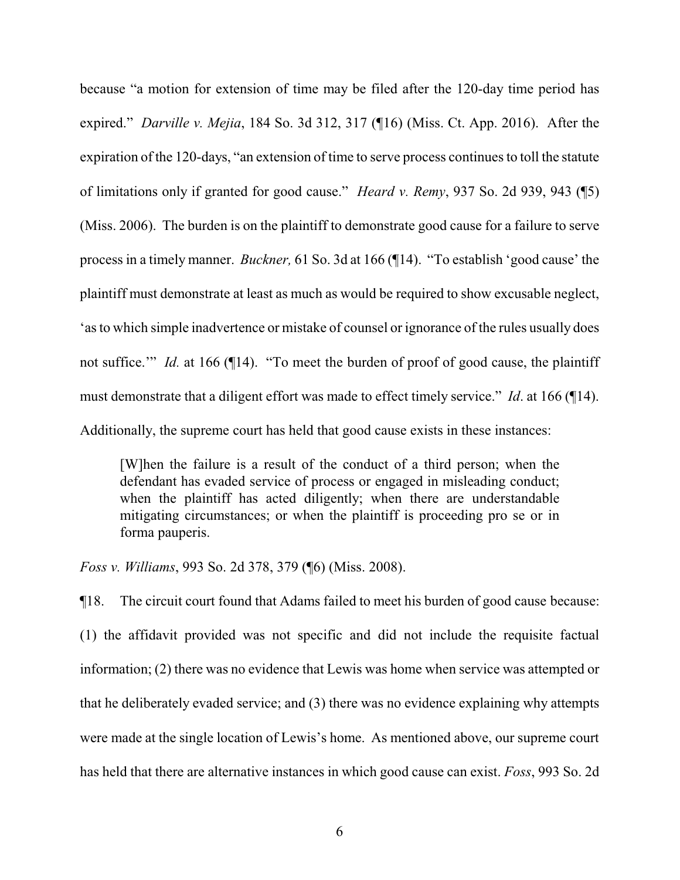because "a motion for extension of time may be filed after the 120-day time period has expired." *Darville v. Mejia*, 184 So. 3d 312, 317 (¶16) (Miss. Ct. App. 2016). After the expiration of the 120-days, "an extension of time to serve process continues to toll the statute of limitations only if granted for good cause." *Heard v. Remy*, 937 So. 2d 939, 943 (¶5) (Miss. 2006). The burden is on the plaintiff to demonstrate good cause for a failure to serve process in a timely manner. *Buckner,* 61 So. 3d at 166 (¶14). "To establish 'good cause' the plaintiff must demonstrate at least as much as would be required to show excusable neglect, 'as to which simple inadvertence or mistake of counsel or ignorance of the rules usually does not suffice." *Id.* at 166 (¶14). "To meet the burden of proof of good cause, the plaintiff must demonstrate that a diligent effort was made to effect timely service." *Id*. at 166 (¶14). Additionally, the supreme court has held that good cause exists in these instances:

[W]hen the failure is a result of the conduct of a third person; when the defendant has evaded service of process or engaged in misleading conduct; when the plaintiff has acted diligently; when there are understandable mitigating circumstances; or when the plaintiff is proceeding pro se or in forma pauperis.

*Foss v. Williams*, 993 So. 2d 378, 379 (¶6) (Miss. 2008).

¶18. The circuit court found that Adams failed to meet his burden of good cause because: (1) the affidavit provided was not specific and did not include the requisite factual information; (2) there was no evidence that Lewis was home when service was attempted or that he deliberately evaded service; and (3) there was no evidence explaining why attempts were made at the single location of Lewis's home. As mentioned above, our supreme court has held that there are alternative instances in which good cause can exist. *Foss*, 993 So. 2d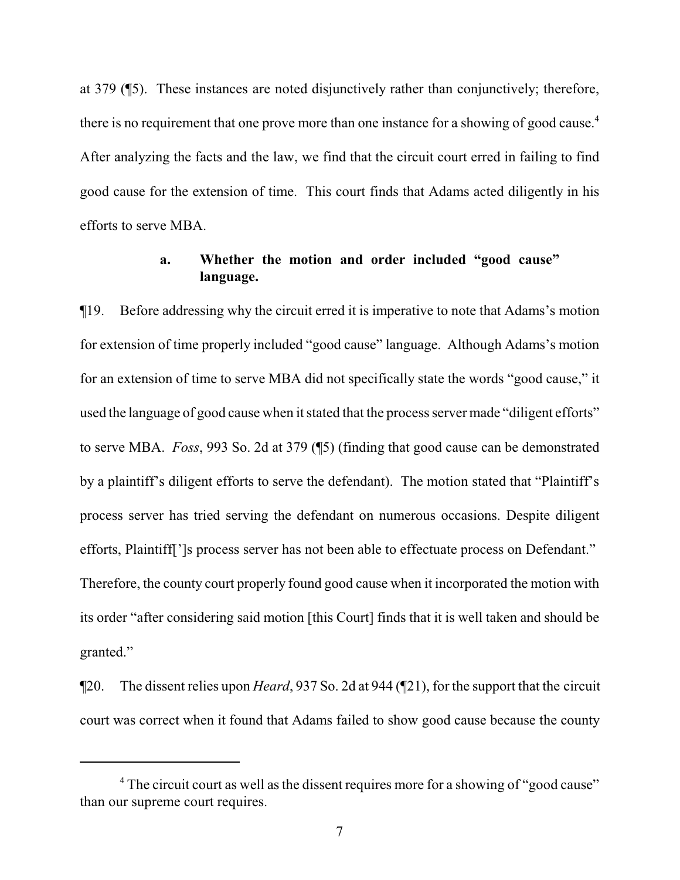at 379 (¶5). These instances are noted disjunctively rather than conjunctively; therefore, there is no requirement that one prove more than one instance for a showing of good cause.<sup>4</sup> After analyzing the facts and the law, we find that the circuit court erred in failing to find good cause for the extension of time. This court finds that Adams acted diligently in his efforts to serve MBA.

# **a. Whether the motion and order included "good cause" language.**

¶19. Before addressing why the circuit erred it is imperative to note that Adams's motion for extension of time properly included "good cause" language. Although Adams's motion for an extension of time to serve MBA did not specifically state the words "good cause," it used the language of good cause when it stated that the process server made "diligent efforts" to serve MBA. *Foss*, 993 So. 2d at 379 (¶5) (finding that good cause can be demonstrated by a plaintiff's diligent efforts to serve the defendant). The motion stated that "Plaintiff's process server has tried serving the defendant on numerous occasions. Despite diligent efforts, Plaintiff[']s process server has not been able to effectuate process on Defendant." Therefore, the county court properly found good cause when it incorporated the motion with its order "after considering said motion [this Court] finds that it is well taken and should be granted."

¶20. The dissent relies upon *Heard*, 937 So. 2d at 944 (¶21), for the support that the circuit court was correct when it found that Adams failed to show good cause because the county

<sup>&</sup>lt;sup>4</sup> The circuit court as well as the dissent requires more for a showing of "good cause" than our supreme court requires.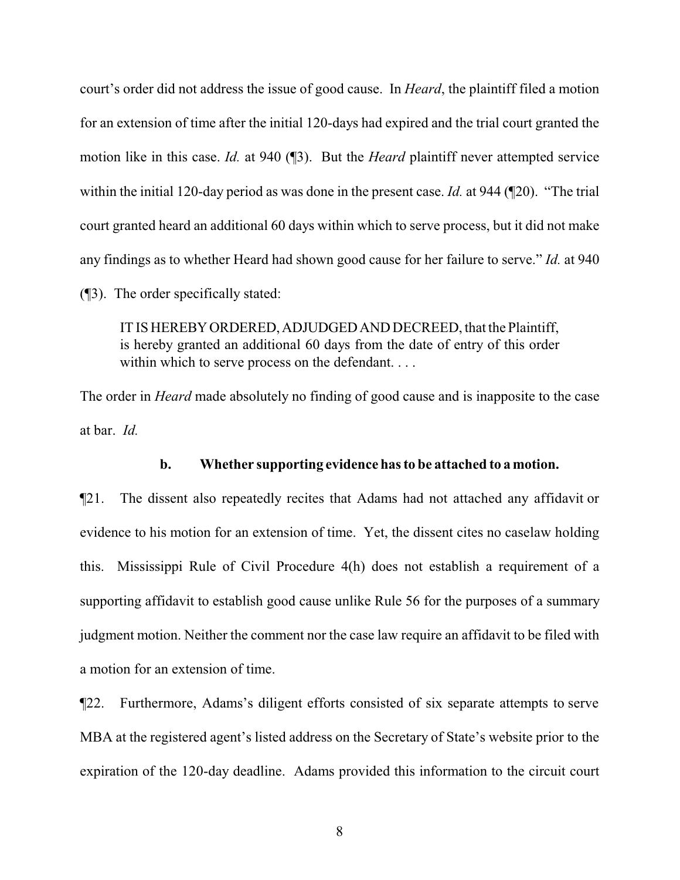court's order did not address the issue of good cause. In *Heard*, the plaintiff filed a motion for an extension of time after the initial 120-days had expired and the trial court granted the motion like in this case. *Id.* at 940 (¶3). But the *Heard* plaintiff never attempted service within the initial 120-day period as was done in the present case. *Id.* at 944 (¶20). "The trial court granted heard an additional 60 days within which to serve process, but it did not make any findings as to whether Heard had shown good cause for her failure to serve." *Id.* at 940 (¶3). The order specifically stated:

IT IS HEREBYORDERED,ADJUDGEDANDDECREED, that the Plaintiff, is hereby granted an additional 60 days from the date of entry of this order within which to serve process on the defendant....

The order in *Heard* made absolutely no finding of good cause and is inapposite to the case at bar. *Id.*

## **b. Whether supporting evidence has to be attached to a motion.**

¶21. The dissent also repeatedly recites that Adams had not attached any affidavit or evidence to his motion for an extension of time. Yet, the dissent cites no caselaw holding this. Mississippi Rule of Civil Procedure 4(h) does not establish a requirement of a supporting affidavit to establish good cause unlike Rule 56 for the purposes of a summary judgment motion. Neither the comment nor the case law require an affidavit to be filed with a motion for an extension of time.

¶22. Furthermore, Adams's diligent efforts consisted of six separate attempts to serve MBA at the registered agent's listed address on the Secretary of State's website prior to the expiration of the 120-day deadline. Adams provided this information to the circuit court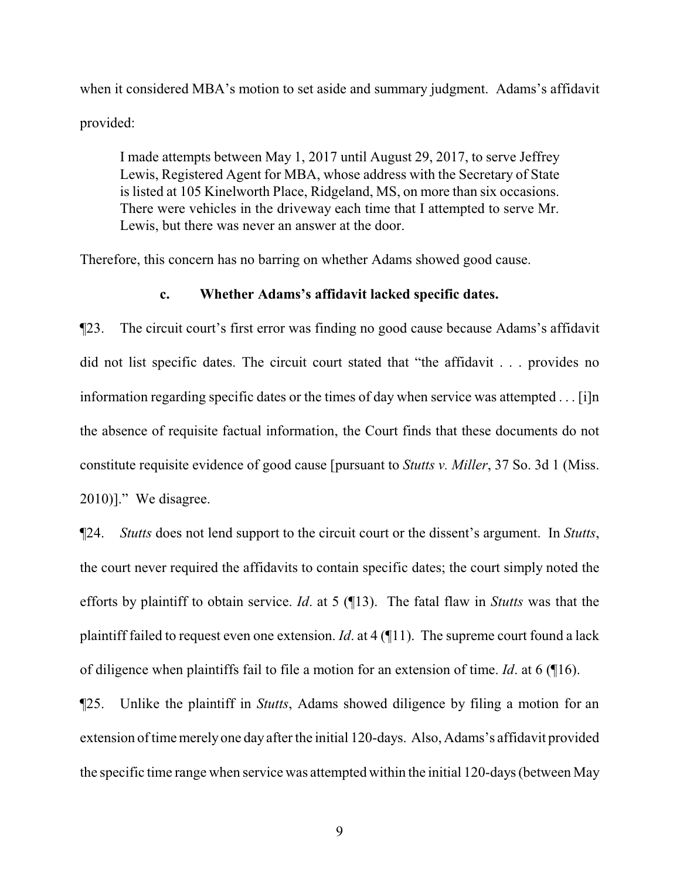when it considered MBA's motion to set aside and summary judgment. Adams's affidavit provided:

I made attempts between May 1, 2017 until August 29, 2017, to serve Jeffrey Lewis, Registered Agent for MBA, whose address with the Secretary of State is listed at 105 Kinelworth Place, Ridgeland, MS, on more than six occasions. There were vehicles in the driveway each time that I attempted to serve Mr. Lewis, but there was never an answer at the door.

Therefore, this concern has no barring on whether Adams showed good cause.

## **c. Whether Adams's affidavit lacked specific dates.**

¶23. The circuit court's first error was finding no good cause because Adams's affidavit did not list specific dates. The circuit court stated that "the affidavit . . . provides no information regarding specific dates or the times of day when service was attempted . . . [i]n the absence of requisite factual information, the Court finds that these documents do not constitute requisite evidence of good cause [pursuant to *Stutts v. Miller*, 37 So. 3d 1 (Miss. 2010)]." We disagree.

¶24. *Stutts* does not lend support to the circuit court or the dissent's argument. In *Stutts*, the court never required the affidavits to contain specific dates; the court simply noted the efforts by plaintiff to obtain service. *Id*. at 5 (¶13). The fatal flaw in *Stutts* was that the plaintiff failed to request even one extension. *Id*. at 4 (¶11). The supreme court found a lack of diligence when plaintiffs fail to file a motion for an extension of time. *Id*. at 6 (¶16).

¶25. Unlike the plaintiff in *Stutts*, Adams showed diligence by filing a motion for an extension of time merely one day after the initial 120-days. Also, Adams's affidavit provided the specific time range when service was attempted within the initial 120-days (between May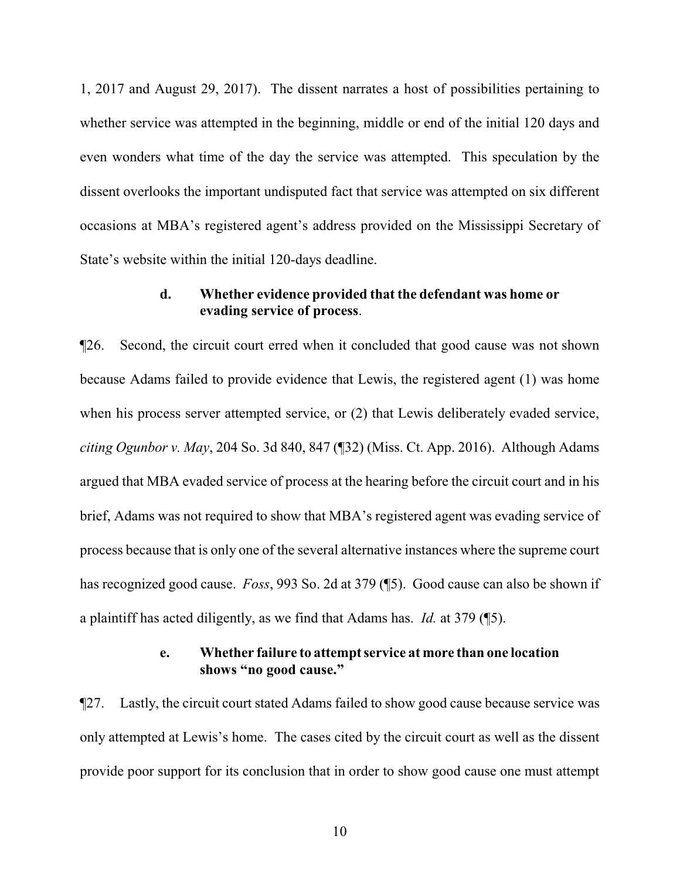1, 2017 and August 29, 2017). The dissent narrates a host of possibilities pertaining to whether service was attempted in the beginning, middle or end of the initial 120 days and even wonders what time of the day the service was attempted. This speculation by the dissent overlooks the important undisputed fact that service was attempted on six different occasions at MBA's registered agent's address provided on the Mississippi Secretary of State's website within the initial 120-days deadline.

# **d. Whether evidence provided that the defendant was home or evading service of process**.

¶26. Second, the circuit court erred when it concluded that good cause was not shown because Adams failed to provide evidence that Lewis, the registered agent (1) was home when his process server attempted service, or (2) that Lewis deliberately evaded service, *citing Ogunbor v. May*, 204 So. 3d 840, 847 (¶32) (Miss. Ct. App. 2016). Although Adams argued that MBA evaded service of process at the hearing before the circuit court and in his brief, Adams was not required to show that MBA's registered agent was evading service of process because that is only one of the several alternative instances where the supreme court has recognized good cause. *Foss*, 993 So. 2d at 379 (¶5). Good cause can also be shown if a plaintiff has acted diligently, as we find that Adams has. *Id.* at 379 (¶5).

## **e. Whether failure to attempt service at more than one location shows "no good cause."**

¶27. Lastly, the circuit court stated Adams failed to show good cause because service was only attempted at Lewis's home. The cases cited by the circuit court as well as the dissent provide poor support for its conclusion that in order to show good cause one must attempt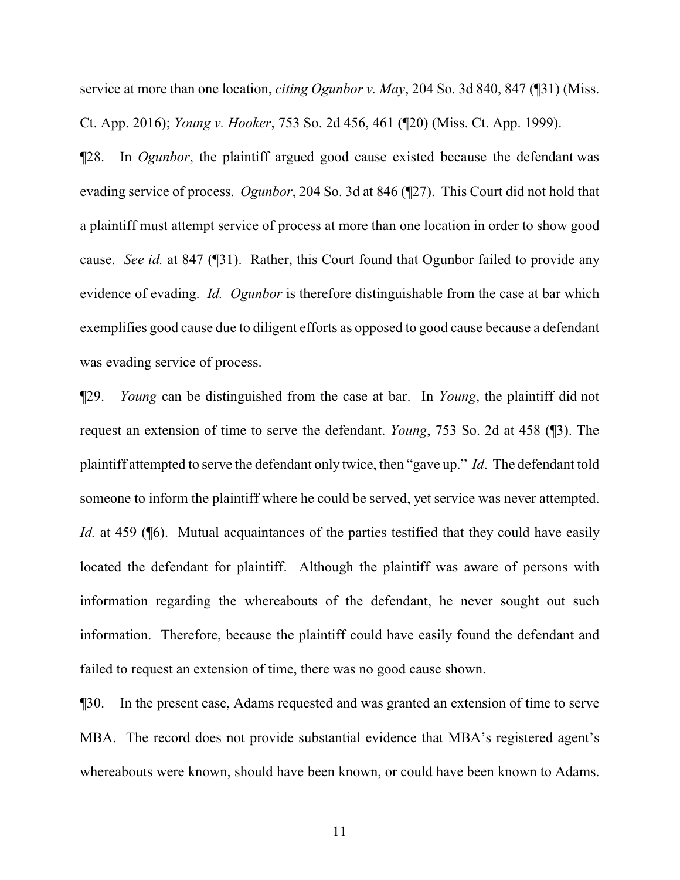service at more than one location, *citing Ogunbor v. May*, 204 So. 3d 840, 847 (¶31) (Miss. Ct. App. 2016); *Young v. Hooker*, 753 So. 2d 456, 461 (¶20) (Miss. Ct. App. 1999).

¶28. In *Ogunbor*, the plaintiff argued good cause existed because the defendant was evading service of process. *Ogunbor*, 204 So. 3d at 846 (¶27). This Court did not hold that a plaintiff must attempt service of process at more than one location in order to show good cause. *See id.* at 847 (¶31). Rather, this Court found that Ogunbor failed to provide any evidence of evading. *Id. Ogunbor* is therefore distinguishable from the case at bar which exemplifies good cause due to diligent efforts as opposed to good cause because a defendant was evading service of process.

¶29. *Young* can be distinguished from the case at bar. In *Young*, the plaintiff did not request an extension of time to serve the defendant. *Young*, 753 So. 2d at 458 (¶3). The plaintiff attempted to serve the defendant only twice, then "gave up." *Id*. The defendant told someone to inform the plaintiff where he could be served, yet service was never attempted. *Id.* at 459 (<sup> $\otimes$ </sup>). Mutual acquaintances of the parties testified that they could have easily located the defendant for plaintiff. Although the plaintiff was aware of persons with information regarding the whereabouts of the defendant, he never sought out such information. Therefore, because the plaintiff could have easily found the defendant and failed to request an extension of time, there was no good cause shown.

¶30. In the present case, Adams requested and was granted an extension of time to serve MBA. The record does not provide substantial evidence that MBA's registered agent's whereabouts were known, should have been known, or could have been known to Adams.

11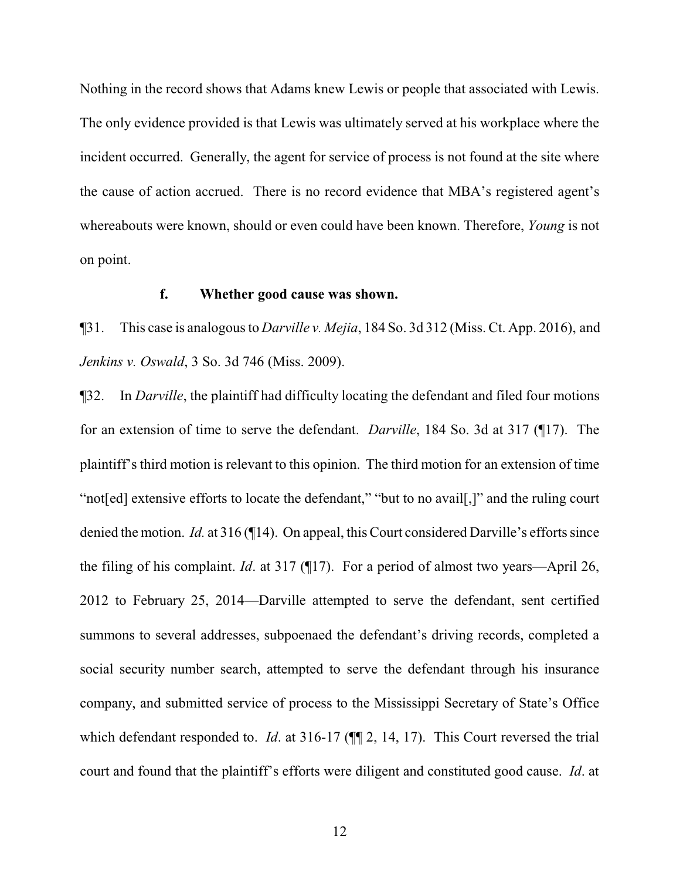Nothing in the record shows that Adams knew Lewis or people that associated with Lewis. The only evidence provided is that Lewis was ultimately served at his workplace where the incident occurred. Generally, the agent for service of process is not found at the site where the cause of action accrued. There is no record evidence that MBA's registered agent's whereabouts were known, should or even could have been known. Therefore, *Young* is not on point.

# **f. Whether good cause was shown.**

¶31. This case is analogous to *Darville v. Mejia*, 184 So. 3d 312 (Miss. Ct. App. 2016), and *Jenkins v. Oswald*, 3 So. 3d 746 (Miss. 2009).

¶32. In *Darville*, the plaintiff had difficulty locating the defendant and filed four motions for an extension of time to serve the defendant. *Darville*, 184 So. 3d at 317 (¶17). The plaintiff's third motion is relevant to this opinion. The third motion for an extension of time "not[ed] extensive efforts to locate the defendant," "but to no avail[,]" and the ruling court denied the motion. *Id.* at 316 (¶14). On appeal, this Court considered Darville's efforts since the filing of his complaint. *Id*. at 317 (¶17). For a period of almost two years—April 26, 2012 to February 25, 2014—Darville attempted to serve the defendant, sent certified summons to several addresses, subpoenaed the defendant's driving records, completed a social security number search, attempted to serve the defendant through his insurance company, and submitted service of process to the Mississippi Secretary of State's Office which defendant responded to. *Id.* at 316-17 ( $\P$ , 2, 14, 17). This Court reversed the trial court and found that the plaintiff's efforts were diligent and constituted good cause. *Id*. at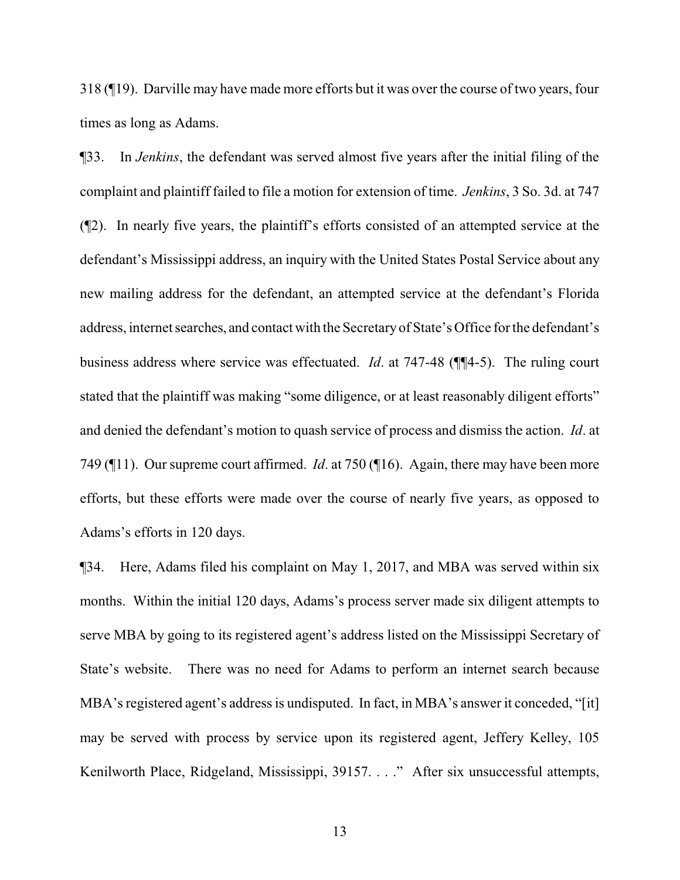318 (¶19). Darville may have made more efforts but it was over the course of two years, four times as long as Adams.

¶33. In *Jenkins*, the defendant was served almost five years after the initial filing of the complaint and plaintiff failed to file a motion for extension of time. *Jenkins*, 3 So. 3d. at 747 (¶2). In nearly five years, the plaintiff's efforts consisted of an attempted service at the defendant's Mississippi address, an inquiry with the United States Postal Service about any new mailing address for the defendant, an attempted service at the defendant's Florida address, internet searches, and contact with the Secretaryof State's Office for the defendant's business address where service was effectuated. *Id*. at 747-48 (¶¶4-5). The ruling court stated that the plaintiff was making "some diligence, or at least reasonably diligent efforts" and denied the defendant's motion to quash service of process and dismiss the action. *Id*. at 749 (¶11). Our supreme court affirmed. *Id*. at 750 (¶16). Again, there may have been more efforts, but these efforts were made over the course of nearly five years, as opposed to Adams's efforts in 120 days.

¶34. Here, Adams filed his complaint on May 1, 2017, and MBA was served within six months. Within the initial 120 days, Adams's process server made six diligent attempts to serve MBA by going to its registered agent's address listed on the Mississippi Secretary of State's website. There was no need for Adams to perform an internet search because MBA's registered agent's address is undisputed. In fact, in MBA's answer it conceded, "[it] may be served with process by service upon its registered agent, Jeffery Kelley, 105 Kenilworth Place, Ridgeland, Mississippi, 39157. . . ." After six unsuccessful attempts,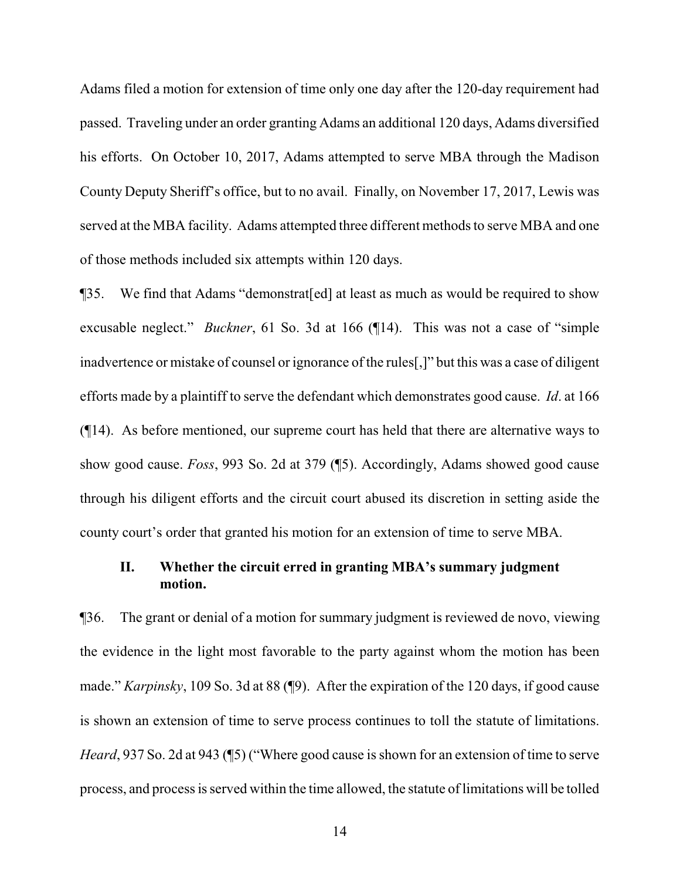Adams filed a motion for extension of time only one day after the 120-day requirement had passed. Traveling under an order granting Adams an additional 120 days, Adams diversified his efforts. On October 10, 2017, Adams attempted to serve MBA through the Madison County Deputy Sheriff's office, but to no avail. Finally, on November 17, 2017, Lewis was served at the MBA facility. Adams attempted three different methods to serve MBA and one of those methods included six attempts within 120 days.

¶35. We find that Adams "demonstrat[ed] at least as much as would be required to show excusable neglect." *Buckner*, 61 So. 3d at 166 (¶14). This was not a case of "simple inadvertence or mistake of counsel or ignorance of the rules[,]" but this was a case of diligent efforts made by a plaintiff to serve the defendant which demonstrates good cause. *Id*. at 166 (¶14). As before mentioned, our supreme court has held that there are alternative ways to show good cause. *Foss*, 993 So. 2d at 379 (¶5). Accordingly, Adams showed good cause through his diligent efforts and the circuit court abused its discretion in setting aside the county court's order that granted his motion for an extension of time to serve MBA.

# **II. Whether the circuit erred in granting MBA's summary judgment motion.**

¶36. The grant or denial of a motion for summary judgment is reviewed de novo, viewing the evidence in the light most favorable to the party against whom the motion has been made." *Karpinsky*, 109 So. 3d at 88 (¶9). After the expiration of the 120 days, if good cause is shown an extension of time to serve process continues to toll the statute of limitations. *Heard*, 937 So. 2d at 943 (15) ("Where good cause is shown for an extension of time to serve process, and process is served within the time allowed, the statute of limitations will be tolled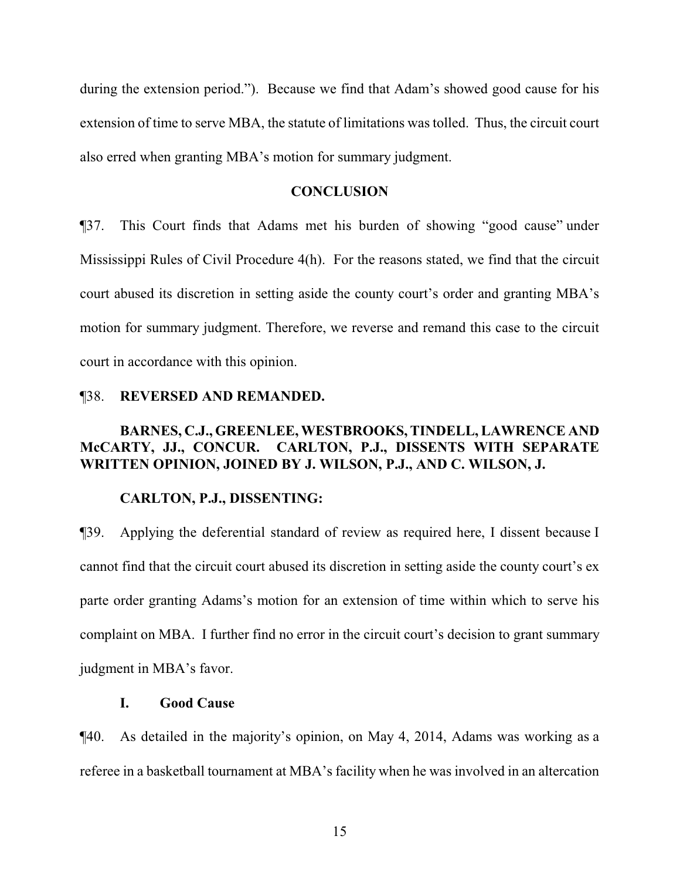during the extension period."). Because we find that Adam's showed good cause for his extension of time to serve MBA, the statute of limitations was tolled. Thus, the circuit court also erred when granting MBA's motion for summary judgment.

#### **CONCLUSION**

¶37. This Court finds that Adams met his burden of showing "good cause" under Mississippi Rules of Civil Procedure 4(h). For the reasons stated, we find that the circuit court abused its discretion in setting aside the county court's order and granting MBA's motion for summary judgment. Therefore, we reverse and remand this case to the circuit court in accordance with this opinion.

#### ¶38. **REVERSED AND REMANDED.**

# **BARNES, C.J., GREENLEE, WESTBROOKS, TINDELL, LAWRENCE AND McCARTY, JJ., CONCUR. CARLTON, P.J., DISSENTS WITH SEPARATE WRITTEN OPINION, JOINED BY J. WILSON, P.J., AND C. WILSON, J.**

#### **CARLTON, P.J., DISSENTING:**

¶39. Applying the deferential standard of review as required here, I dissent because I cannot find that the circuit court abused its discretion in setting aside the county court's ex parte order granting Adams's motion for an extension of time within which to serve his complaint on MBA. I further find no error in the circuit court's decision to grant summary judgment in MBA's favor.

## **I. Good Cause**

¶40. As detailed in the majority's opinion, on May 4, 2014, Adams was working as a referee in a basketball tournament at MBA's facility when he was involved in an altercation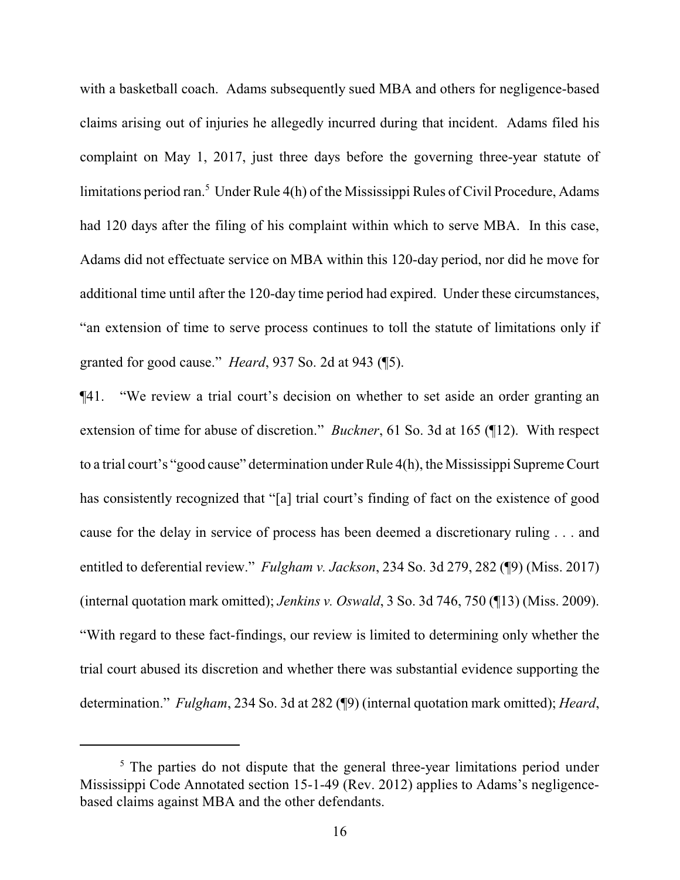with a basketball coach. Adams subsequently sued MBA and others for negligence-based claims arising out of injuries he allegedly incurred during that incident. Adams filed his complaint on May 1, 2017, just three days before the governing three-year statute of limitations period ran.<sup>5</sup> Under Rule  $4(h)$  of the Mississippi Rules of Civil Procedure, Adams had 120 days after the filing of his complaint within which to serve MBA. In this case, Adams did not effectuate service on MBA within this 120-day period, nor did he move for additional time until after the 120-day time period had expired. Under these circumstances, "an extension of time to serve process continues to toll the statute of limitations only if granted for good cause." *Heard*, 937 So. 2d at 943 (¶5).

¶41. "We review a trial court's decision on whether to set aside an order granting an extension of time for abuse of discretion." *Buckner*, 61 So. 3d at 165 (¶12). With respect to a trial court's "good cause" determination under Rule 4(h), the Mississippi Supreme Court has consistently recognized that "[a] trial court's finding of fact on the existence of good cause for the delay in service of process has been deemed a discretionary ruling . . . and entitled to deferential review." *Fulgham v. Jackson*, 234 So. 3d 279, 282 (¶9) (Miss. 2017) (internal quotation mark omitted); *Jenkins v. Oswald*, 3 So. 3d 746, 750 (¶13) (Miss. 2009). "With regard to these fact-findings, our review is limited to determining only whether the trial court abused its discretion and whether there was substantial evidence supporting the determination." *Fulgham*, 234 So. 3d at 282 (¶9) (internal quotation mark omitted); *Heard*,

 $<sup>5</sup>$  The parties do not dispute that the general three-year limitations period under</sup> Mississippi Code Annotated section 15-1-49 (Rev. 2012) applies to Adams's negligencebased claims against MBA and the other defendants.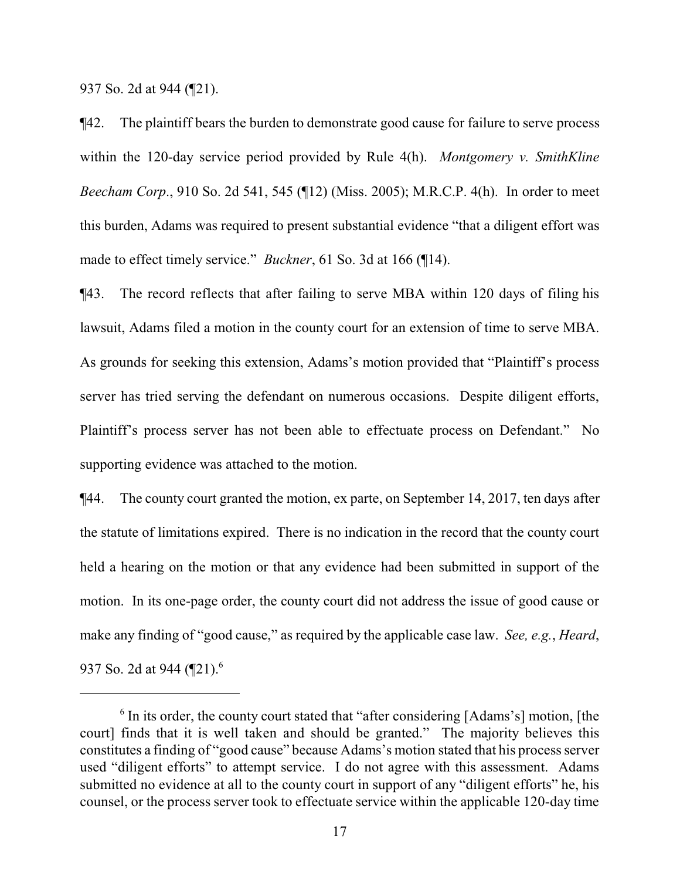937 So. 2d at 944 (¶21).

¶42. The plaintiff bears the burden to demonstrate good cause for failure to serve process within the 120-day service period provided by Rule 4(h). *Montgomery v. SmithKline Beecham Corp*., 910 So. 2d 541, 545 (¶12) (Miss. 2005); M.R.C.P. 4(h). In order to meet this burden, Adams was required to present substantial evidence "that a diligent effort was made to effect timely service." *Buckner*, 61 So. 3d at 166 (¶14).

¶43. The record reflects that after failing to serve MBA within 120 days of filing his lawsuit, Adams filed a motion in the county court for an extension of time to serve MBA. As grounds for seeking this extension, Adams's motion provided that "Plaintiff's process server has tried serving the defendant on numerous occasions. Despite diligent efforts, Plaintiff's process server has not been able to effectuate process on Defendant." No supporting evidence was attached to the motion.

¶44. The county court granted the motion, ex parte, on September 14, 2017, ten days after the statute of limitations expired. There is no indication in the record that the county court held a hearing on the motion or that any evidence had been submitted in support of the motion. In its one-page order, the county court did not address the issue of good cause or make any finding of "good cause," as required by the applicable case law. *See, e.g.*, *Heard*, 937 So. 2d at 944 (¶21).<sup>6</sup>

<sup>&</sup>lt;sup>6</sup> In its order, the county court stated that "after considering [Adams's] motion, [the court] finds that it is well taken and should be granted." The majority believes this constitutes a finding of "good cause" because Adams's motion stated that his process server used "diligent efforts" to attempt service. I do not agree with this assessment. Adams submitted no evidence at all to the county court in support of any "diligent efforts" he, his counsel, or the process server took to effectuate service within the applicable 120-day time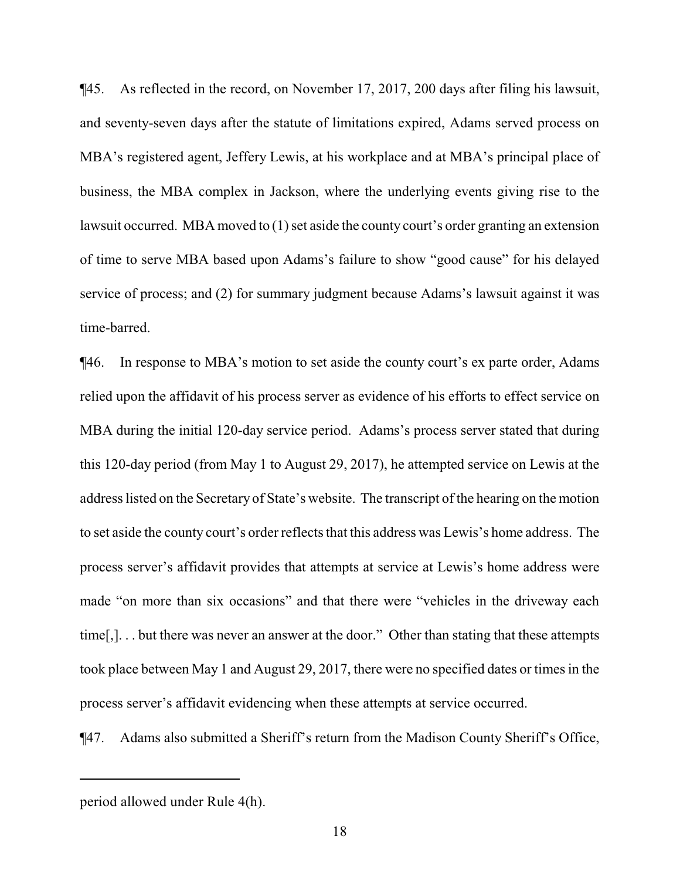¶45. As reflected in the record, on November 17, 2017, 200 days after filing his lawsuit, and seventy-seven days after the statute of limitations expired, Adams served process on MBA's registered agent, Jeffery Lewis, at his workplace and at MBA's principal place of business, the MBA complex in Jackson, where the underlying events giving rise to the lawsuit occurred. MBA moved to (1) set aside the county court's order granting an extension of time to serve MBA based upon Adams's failure to show "good cause" for his delayed service of process; and (2) for summary judgment because Adams's lawsuit against it was time-barred.

¶46. In response to MBA's motion to set aside the county court's ex parte order, Adams relied upon the affidavit of his process server as evidence of his efforts to effect service on MBA during the initial 120-day service period. Adams's process server stated that during this 120-day period (from May 1 to August 29, 2017), he attempted service on Lewis at the address listed on the Secretary of State's website. The transcript of the hearing on the motion to set aside the county court's order reflects that this address was Lewis's home address. The process server's affidavit provides that attempts at service at Lewis's home address were made "on more than six occasions" and that there were "vehicles in the driveway each time[,]. . . but there was never an answer at the door." Other than stating that these attempts took place between May 1 and August 29, 2017, there were no specified dates or times in the process server's affidavit evidencing when these attempts at service occurred.

¶47. Adams also submitted a Sheriff's return from the Madison County Sheriff's Office,

period allowed under Rule 4(h).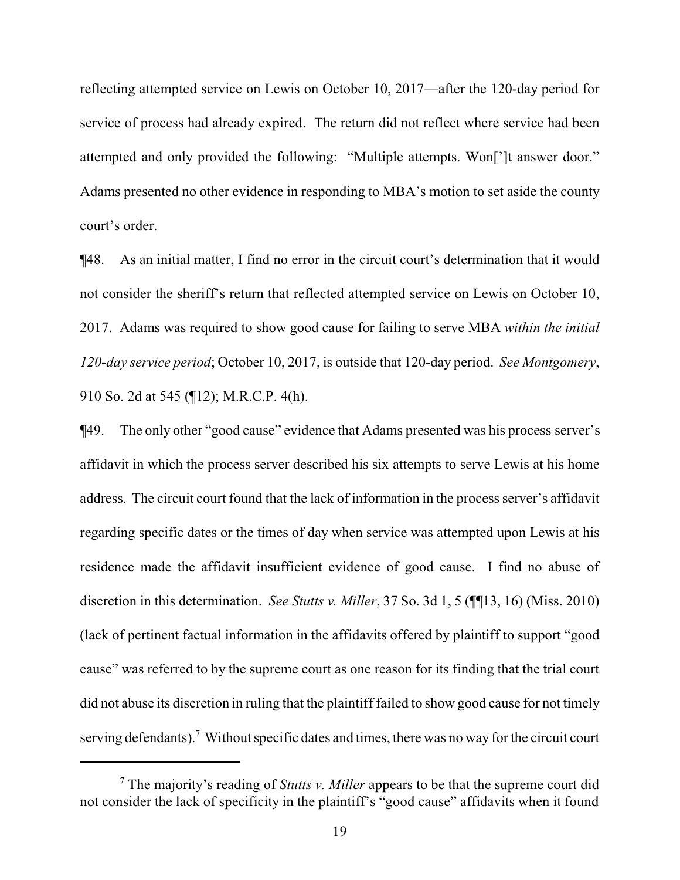reflecting attempted service on Lewis on October 10, 2017—after the 120-day period for service of process had already expired. The return did not reflect where service had been attempted and only provided the following: "Multiple attempts. Won[']t answer door." Adams presented no other evidence in responding to MBA's motion to set aside the county court's order.

¶48. As an initial matter, I find no error in the circuit court's determination that it would not consider the sheriff's return that reflected attempted service on Lewis on October 10, 2017. Adams was required to show good cause for failing to serve MBA *within the initial 120-day service period*; October 10, 2017, is outside that 120-day period. *See Montgomery*, 910 So. 2d at 545 (¶12); M.R.C.P. 4(h).

¶49. The only other "good cause" evidence that Adams presented was his process server's affidavit in which the process server described his six attempts to serve Lewis at his home address. The circuit court found that the lack of information in the process server's affidavit regarding specific dates or the times of day when service was attempted upon Lewis at his residence made the affidavit insufficient evidence of good cause. I find no abuse of discretion in this determination. *See Stutts v. Miller*, 37 So. 3d 1, 5 (¶¶13, 16) (Miss. 2010) (lack of pertinent factual information in the affidavits offered by plaintiff to support "good cause" was referred to by the supreme court as one reason for its finding that the trial court did not abuse its discretion in ruling that the plaintiff failed to show good cause for not timely serving defendants).<sup>7</sup> Without specific dates and times, there was no way for the circuit court

<sup>7</sup> The majority's reading of *Stutts v. Miller* appears to be that the supreme court did not consider the lack of specificity in the plaintiff's "good cause" affidavits when it found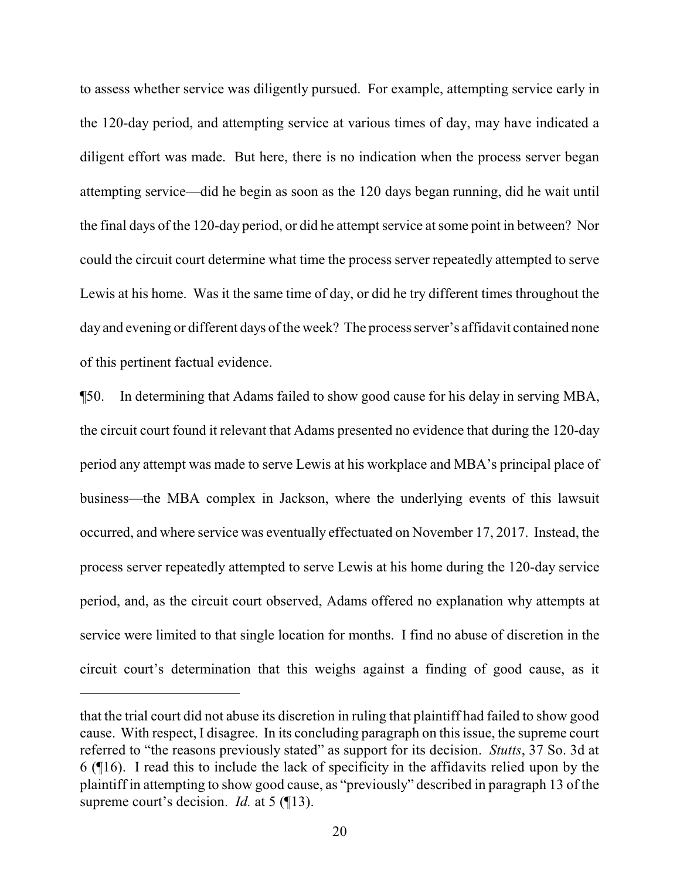to assess whether service was diligently pursued. For example, attempting service early in the 120-day period, and attempting service at various times of day, may have indicated a diligent effort was made. But here, there is no indication when the process server began attempting service—did he begin as soon as the 120 days began running, did he wait until the final days of the 120-day period, or did he attempt service at some point in between? Nor could the circuit court determine what time the process server repeatedly attempted to serve Lewis at his home. Was it the same time of day, or did he try different times throughout the day and evening or different days of the week? The process server's affidavit contained none of this pertinent factual evidence.

¶50. In determining that Adams failed to show good cause for his delay in serving MBA, the circuit court found it relevant that Adams presented no evidence that during the 120-day period any attempt was made to serve Lewis at his workplace and MBA's principal place of business—the MBA complex in Jackson, where the underlying events of this lawsuit occurred, and where service was eventually effectuated on November 17, 2017. Instead, the process server repeatedly attempted to serve Lewis at his home during the 120-day service period, and, as the circuit court observed, Adams offered no explanation why attempts at service were limited to that single location for months. I find no abuse of discretion in the circuit court's determination that this weighs against a finding of good cause, as it

that the trial court did not abuse its discretion in ruling that plaintiff had failed to show good cause. With respect, I disagree. In its concluding paragraph on this issue, the supreme court referred to "the reasons previously stated" as support for its decision. *Stutts*, 37 So. 3d at 6 (¶16). I read this to include the lack of specificity in the affidavits relied upon by the plaintiff in attempting to show good cause, as "previously" described in paragraph 13 of the supreme court's decision. *Id.* at 5 (113).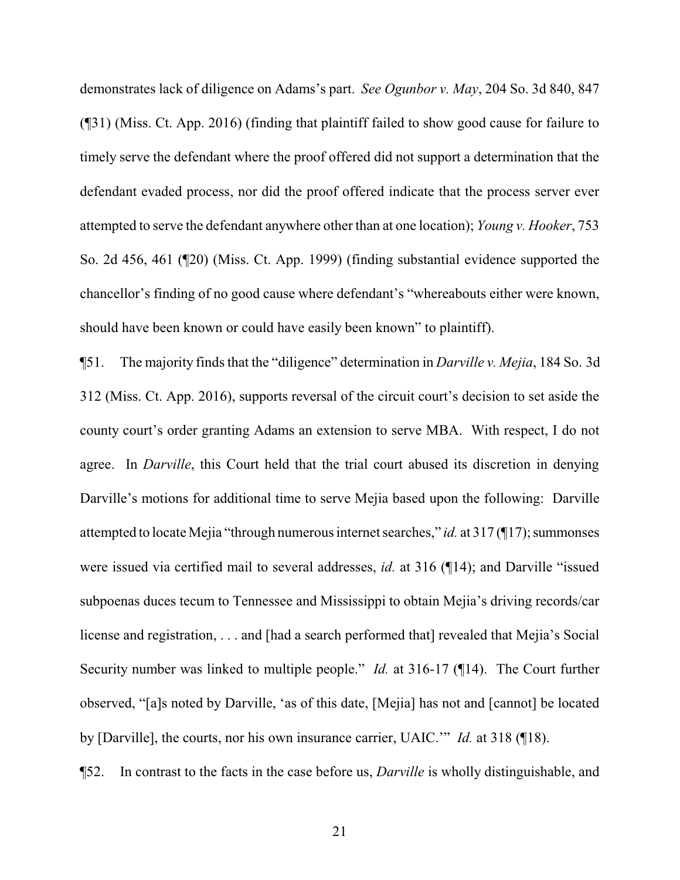demonstrates lack of diligence on Adams's part. *See Ogunbor v. May*, 204 So. 3d 840, 847 (¶31) (Miss. Ct. App. 2016) (finding that plaintiff failed to show good cause for failure to timely serve the defendant where the proof offered did not support a determination that the defendant evaded process, nor did the proof offered indicate that the process server ever attempted to serve the defendant anywhere other than at one location); *Young v. Hooker*, 753 So. 2d 456, 461 (¶20) (Miss. Ct. App. 1999) (finding substantial evidence supported the chancellor's finding of no good cause where defendant's "whereabouts either were known, should have been known or could have easily been known" to plaintiff).

¶51. The majority finds that the "diligence" determination in *Darville v. Mejia*, 184 So. 3d 312 (Miss. Ct. App. 2016), supports reversal of the circuit court's decision to set aside the county court's order granting Adams an extension to serve MBA. With respect, I do not agree. In *Darville*, this Court held that the trial court abused its discretion in denying Darville's motions for additional time to serve Mejia based upon the following: Darville attempted to locate Mejia "through numerous internet searches," *id.* at 317(17); summonses were issued via certified mail to several addresses, *id.* at 316 (¶14); and Darville "issued subpoenas duces tecum to Tennessee and Mississippi to obtain Mejia's driving records/car license and registration, . . . and [had a search performed that] revealed that Mejia's Social Security number was linked to multiple people." *Id.* at 316-17 (¶14). The Court further observed, "[a]s noted by Darville, 'as of this date, [Mejia] has not and [cannot] be located by [Darville], the courts, nor his own insurance carrier, UAIC.'" *Id.* at 318 (¶18).

¶52. In contrast to the facts in the case before us, *Darville* is wholly distinguishable, and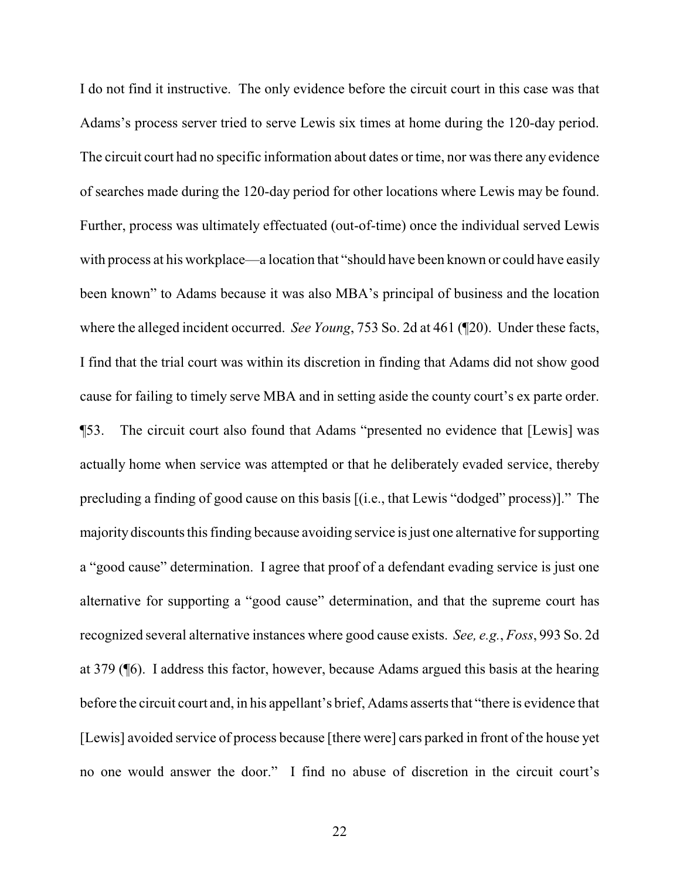I do not find it instructive. The only evidence before the circuit court in this case was that Adams's process server tried to serve Lewis six times at home during the 120-day period. The circuit court had no specific information about dates or time, nor was there any evidence of searches made during the 120-day period for other locations where Lewis may be found. Further, process was ultimately effectuated (out-of-time) once the individual served Lewis with process at his workplace—a location that "should have been known or could have easily been known" to Adams because it was also MBA's principal of business and the location where the alleged incident occurred. *See Young*, 753 So. 2d at 461 (¶20). Under these facts, I find that the trial court was within its discretion in finding that Adams did not show good cause for failing to timely serve MBA and in setting aside the county court's ex parte order. ¶53. The circuit court also found that Adams "presented no evidence that [Lewis] was actually home when service was attempted or that he deliberately evaded service, thereby precluding a finding of good cause on this basis [(i.e., that Lewis "dodged" process)]." The majority discounts this finding because avoiding service is just one alternative for supporting a "good cause" determination. I agree that proof of a defendant evading service is just one alternative for supporting a "good cause" determination, and that the supreme court has recognized several alternative instances where good cause exists. *See, e.g.*, *Foss*, 993 So. 2d at 379 (¶6). I address this factor, however, because Adams argued this basis at the hearing before the circuit court and, in his appellant's brief, Adams asserts that "there is evidence that [Lewis] avoided service of process because [there were] cars parked in front of the house yet no one would answer the door." I find no abuse of discretion in the circuit court's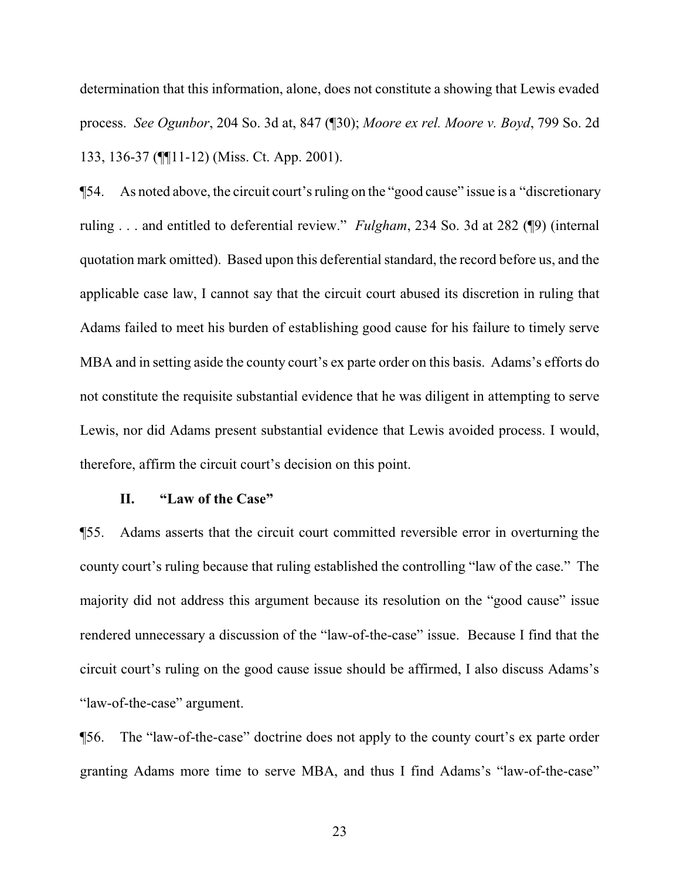determination that this information, alone, does not constitute a showing that Lewis evaded process. *See Ogunbor*, 204 So. 3d at, 847 (¶30); *Moore ex rel. Moore v. Boyd*, 799 So. 2d 133, 136-37 (¶¶11-12) (Miss. Ct. App. 2001).

¶54. As noted above, the circuit court's ruling on the "good cause" issue is a "discretionary ruling . . . and entitled to deferential review." *Fulgham*, 234 So. 3d at 282 (¶9) (internal quotation mark omitted). Based upon this deferential standard, the record before us, and the applicable case law, I cannot say that the circuit court abused its discretion in ruling that Adams failed to meet his burden of establishing good cause for his failure to timely serve MBA and in setting aside the county court's ex parte order on this basis. Adams's efforts do not constitute the requisite substantial evidence that he was diligent in attempting to serve Lewis, nor did Adams present substantial evidence that Lewis avoided process. I would, therefore, affirm the circuit court's decision on this point.

## **II. "Law of the Case"**

¶55. Adams asserts that the circuit court committed reversible error in overturning the county court's ruling because that ruling established the controlling "law of the case." The majority did not address this argument because its resolution on the "good cause" issue rendered unnecessary a discussion of the "law-of-the-case" issue. Because I find that the circuit court's ruling on the good cause issue should be affirmed, I also discuss Adams's "law-of-the-case" argument.

¶56. The "law-of-the-case" doctrine does not apply to the county court's ex parte order granting Adams more time to serve MBA, and thus I find Adams's "law-of-the-case"

23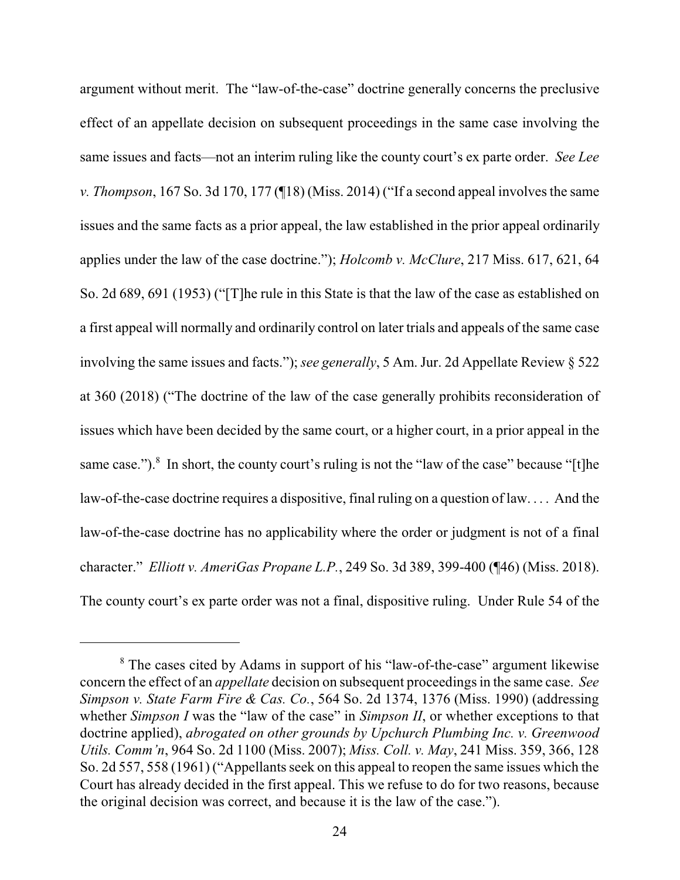argument without merit. The "law-of-the-case" doctrine generally concerns the preclusive effect of an appellate decision on subsequent proceedings in the same case involving the same issues and facts—not an interim ruling like the county court's ex parte order. *See Lee v. Thompson*, 167 So. 3d 170, 177 (¶18) (Miss. 2014) ("If a second appeal involves the same issues and the same facts as a prior appeal, the law established in the prior appeal ordinarily applies under the law of the case doctrine."); *Holcomb v. McClure*, 217 Miss. 617, 621, 64 So. 2d 689, 691 (1953) ("[T]he rule in this State is that the law of the case as established on a first appeal will normally and ordinarily control on later trials and appeals of the same case involving the same issues and facts."); *see generally*, 5 Am. Jur. 2d Appellate Review § 522 at 360 (2018) ("The doctrine of the law of the case generally prohibits reconsideration of issues which have been decided by the same court, or a higher court, in a prior appeal in the same case.").<sup>8</sup> In short, the county court's ruling is not the "law of the case" because "[t]he law-of-the-case doctrine requires a dispositive, final ruling on a question of law. . . . And the law-of-the-case doctrine has no applicability where the order or judgment is not of a final character." *Elliott v. AmeriGas Propane L.P.*, 249 So. 3d 389, 399-400 (¶46) (Miss. 2018). The county court's ex parte order was not a final, dispositive ruling. Under Rule 54 of the

<sup>&</sup>lt;sup>8</sup> The cases cited by Adams in support of his "law-of-the-case" argument likewise concern the effect of an *appellate* decision on subsequent proceedingsin the same case. *See Simpson v. State Farm Fire & Cas. Co.*, 564 So. 2d 1374, 1376 (Miss. 1990) (addressing whether *Simpson I* was the "law of the case" in *Simpson II*, or whether exceptions to that doctrine applied), *abrogated on other grounds by Upchurch Plumbing Inc. v. Greenwood Utils. Comm'n*, 964 So. 2d 1100 (Miss. 2007); *Miss. Coll. v. May*, 241 Miss. 359, 366, 128 So. 2d 557, 558 (1961) ("Appellants seek on this appeal to reopen the same issues which the Court has already decided in the first appeal. This we refuse to do for two reasons, because the original decision was correct, and because it is the law of the case.").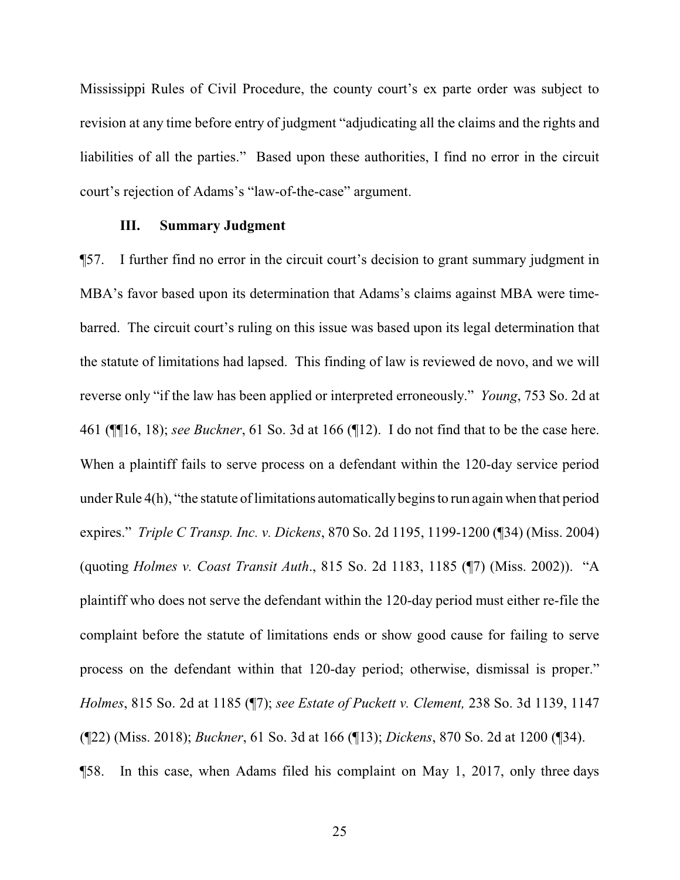Mississippi Rules of Civil Procedure, the county court's ex parte order was subject to revision at any time before entry of judgment "adjudicating all the claims and the rights and liabilities of all the parties." Based upon these authorities, I find no error in the circuit court's rejection of Adams's "law-of-the-case" argument.

## **III. Summary Judgment**

¶57. I further find no error in the circuit court's decision to grant summary judgment in MBA's favor based upon its determination that Adams's claims against MBA were timebarred. The circuit court's ruling on this issue was based upon its legal determination that the statute of limitations had lapsed. This finding of law is reviewed de novo, and we will reverse only "if the law has been applied or interpreted erroneously." *Young*, 753 So. 2d at 461 (¶¶16, 18); *see Buckner*, 61 So. 3d at 166 (¶12). I do not find that to be the case here. When a plaintiff fails to serve process on a defendant within the 120-day service period under Rule 4(h), "the statute of limitations automatically begins to run again when that period expires." *Triple C Transp. Inc. v. Dickens*, 870 So. 2d 1195, 1199-1200 (¶34) (Miss. 2004) (quoting *Holmes v. Coast Transit Auth*., 815 So. 2d 1183, 1185 (¶7) (Miss. 2002)). "A plaintiff who does not serve the defendant within the 120-day period must either re-file the complaint before the statute of limitations ends or show good cause for failing to serve process on the defendant within that 120-day period; otherwise, dismissal is proper." *Holmes*, 815 So. 2d at 1185 (¶7); *see Estate of Puckett v. Clement,* 238 So. 3d 1139, 1147 (¶22) (Miss. 2018); *Buckner*, 61 So. 3d at 166 (¶13); *Dickens*, 870 So. 2d at 1200 (¶34). ¶58. In this case, when Adams filed his complaint on May 1, 2017, only three days